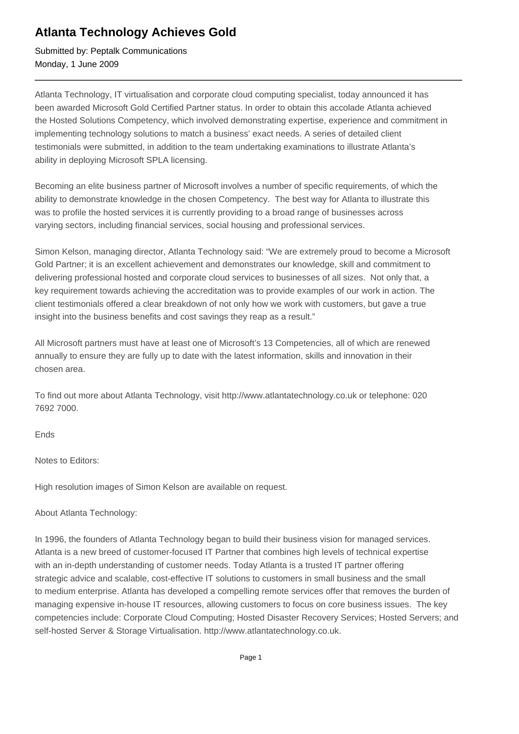## **Atlanta Technology Achieves Gold**

Submitted by: Peptalk Communications Monday, 1 June 2009

Atlanta Technology, IT virtualisation and corporate cloud computing specialist, today announced it has been awarded Microsoft Gold Certified Partner status. In order to obtain this accolade Atlanta achieved the Hosted Solutions Competency, which involved demonstrating expertise, experience and commitment in implementing technology solutions to match a business' exact needs. A series of detailed client testimonials were submitted, in addition to the team undertaking examinations to illustrate Atlanta's ability in deploying Microsoft SPLA licensing.

Becoming an elite business partner of Microsoft involves a number of specific requirements, of which the ability to demonstrate knowledge in the chosen Competency. The best way for Atlanta to illustrate this was to profile the hosted services it is currently providing to a broad range of businesses across varying sectors, including financial services, social housing and professional services.

Simon Kelson, managing director, Atlanta Technology said: "We are extremely proud to become a Microsoft Gold Partner; it is an excellent achievement and demonstrates our knowledge, skill and commitment to delivering professional hosted and corporate cloud services to businesses of all sizes. Not only that, a key requirement towards achieving the accreditation was to provide examples of our work in action. The client testimonials offered a clear breakdown of not only how we work with customers, but gave a true insight into the business benefits and cost savings they reap as a result."

All Microsoft partners must have at least one of Microsoft's 13 Competencies, all of which are renewed annually to ensure they are fully up to date with the latest information, skills and innovation in their chosen area.

To find out more about Atlanta Technology, visit http://www.atlantatechnology.co.uk or telephone: 020 7692 7000.

Ends

Notes to Editors:

High resolution images of Simon Kelson are available on request.

About Atlanta Technology:

In 1996, the founders of Atlanta Technology began to build their business vision for managed services. Atlanta is a new breed of customer-focused IT Partner that combines high levels of technical expertise with an in-depth understanding of customer needs. Today Atlanta is a trusted IT partner offering strategic advice and scalable, cost-effective IT solutions to customers in small business and the small to medium enterprise. Atlanta has developed a compelling remote services offer that removes the burden of managing expensive in-house IT resources, allowing customers to focus on core business issues. The key competencies include: Corporate Cloud Computing; Hosted Disaster Recovery Services; Hosted Servers; and self-hosted Server & Storage Virtualisation. http://www.atlantatechnology.co.uk.